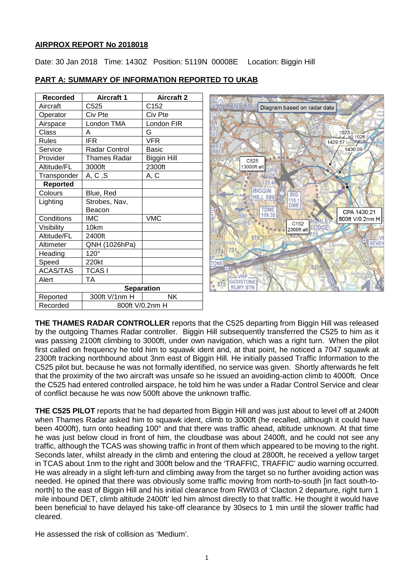# **AIRPROX REPORT No 2018018**

Date: 30 Jan 2018 Time: 1430Z Position: 5119N 00008E Location: Biggin Hill

| Recorded                   | <b>Aircraft 1</b> | <b>Aircraft 2</b> |  |  |  |
|----------------------------|-------------------|-------------------|--|--|--|
| Aircraft                   | C525              | C152              |  |  |  |
| Operator                   | Civ Pte           | Civ Pte           |  |  |  |
| London TMA<br>Airspace     |                   | London FIR        |  |  |  |
| Class                      | A                 | G                 |  |  |  |
| <b>Rules</b>               | <b>IFR</b>        | VFR               |  |  |  |
| Service                    | Radar Control     | <b>Basic</b>      |  |  |  |
| Provider                   | Thames Radar      |                   |  |  |  |
| Altitude/FL<br>3000ft      |                   | 2300ft            |  |  |  |
| A, C, S<br>Transponder     |                   | A, C              |  |  |  |
| <b>Reported</b>            |                   |                   |  |  |  |
| Colours                    | Blue, Red         |                   |  |  |  |
| Strobes, Nav,<br>Lighting  |                   |                   |  |  |  |
|                            | Beacon            |                   |  |  |  |
| Conditions<br>IMC          |                   | <b>VMC</b>        |  |  |  |
| Visibility<br>10km         |                   |                   |  |  |  |
| Altitude/FL<br>2400ft      |                   |                   |  |  |  |
| Altimeter<br>QNH (1026hPa) |                   |                   |  |  |  |
| 120°<br>Heading            |                   |                   |  |  |  |
| Speed                      | 220kt             |                   |  |  |  |
| <b>ACAS/TAS</b>            | <b>TCASI</b>      |                   |  |  |  |
| Alert                      | TА                |                   |  |  |  |
|                            | <b>Separation</b> |                   |  |  |  |
| Reported                   | 300ft V/1nm H     | NΚ                |  |  |  |
| Recorded                   | 800ft V/0.2nm H   |                   |  |  |  |

# **PART A: SUMMARY OF INFORMATION REPORTED TO UKAB**



**THE THAMES RADAR CONTROLLER** reports that the C525 departing from Biggin Hill was released by the outgoing Thames Radar controller. Biggin Hill subsequently transferred the C525 to him as it was passing 2100ft climbing to 3000ft, under own navigation, which was a right turn. When the pilot first called on frequency he told him to squawk ident and, at that point, he noticed a 7047 squawk at 2300ft tracking northbound about 3nm east of Biggin Hill. He initially passed Traffic Information to the C525 pilot but, because he was not formally identified, no service was given. Shortly afterwards he felt that the proximity of the two aircraft was unsafe so he issued an avoiding-action climb to 4000ft. Once the C525 had entered controlled airspace, he told him he was under a Radar Control Service and clear of conflict because he was now 500ft above the unknown traffic.

**THE C525 PILOT** reports that he had departed from Biggin Hill and was just about to level off at 2400ft when Thames Radar asked him to squawk ident, climb to 3000ft (he recalled, although it could have been 4000ft), turn onto heading 100° and that there was traffic ahead, altitude unknown. At that time he was just below cloud in front of him, the cloudbase was about 2400ft, and he could not see any traffic, although the TCAS was showing traffic in front of them which appeared to be moving to the right. Seconds later, whilst already in the climb and entering the cloud at 2800ft, he received a yellow target in TCAS about 1nm to the right and 300ft below and the 'TRAFFIC, TRAFFIC' audio warning occurred. He was already in a slight left-turn and climbing away from the target so no further avoiding action was needed. He opined that there was obviously some traffic moving from north-to-south [in fact south-tonorth] to the east of Biggin Hill and his initial clearance from RW03 of 'Clacton 2 departure, right turn 1 mile inbound DET, climb altitude 2400ft' led him almost directly to that traffic. He thought it would have been beneficial to have delayed his take-off clearance by 30secs to 1 min until the slower traffic had cleared.

He assessed the risk of collision as 'Medium'.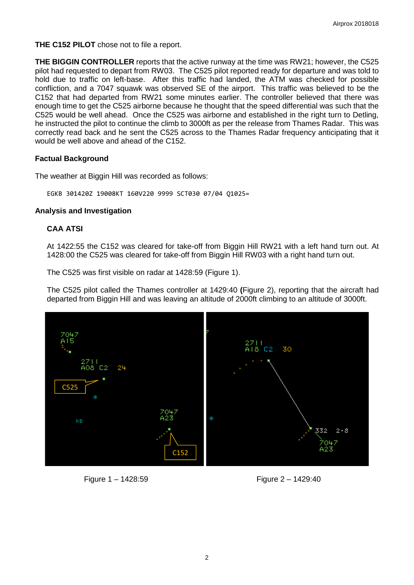**THE C152 PILOT** chose not to file a report.

**THE BIGGIN CONTROLLER** reports that the active runway at the time was RW21; however, the C525 pilot had requested to depart from RW03. The C525 pilot reported ready for departure and was told to hold due to traffic on left-base. After this traffic had landed, the ATM was checked for possible confliction, and a 7047 squawk was observed SE of the airport. This traffic was believed to be the C152 that had departed from RW21 some minutes earlier. The controller believed that there was enough time to get the C525 airborne because he thought that the speed differential was such that the C525 would be well ahead. Once the C525 was airborne and established in the right turn to Detling, he instructed the pilot to continue the climb to 3000ft as per the release from Thames Radar. This was correctly read back and he sent the C525 across to the Thames Radar frequency anticipating that it would be well above and ahead of the C152.

## **Factual Background**

The weather at Biggin Hill was recorded as follows:

EGKB 301420Z 19008KT 160V220 9999 SCT030 07/04 Q1025=

#### **Analysis and Investigation**

## **CAA ATSI**

At 1422:55 the C152 was cleared for take-off from Biggin Hill RW21 with a left hand turn out. At 1428:00 the C525 was cleared for take-off from Biggin Hill RW03 with a right hand turn out.

The C525 was first visible on radar at 1428:59 (Figure 1).

The C525 pilot called the Thames controller at 1429:40 **(**Figure 2), reporting that the aircraft had departed from Biggin Hill and was leaving an altitude of 2000ft climbing to an altitude of 3000ft.





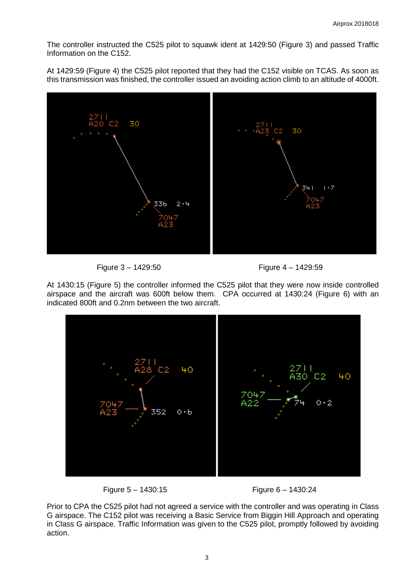The controller instructed the C525 pilot to squawk ident at 1429:50 (Figure 3) and passed Traffic Information on the C152.

At 1429:59 (Figure 4) the C525 pilot reported that they had the C152 visible on TCAS. As soon as this transmission was finished, the controller issued an avoiding action climb to an altitude of 4000ft.





At 1430:15 (Figure 5) the controller informed the C525 pilot that they were now inside controlled airspace and the aircraft was 600ft below them. CPA occurred at 1430:24 (Figure 6) with an indicated 800ft and 0.2nm between the two aircraft.





Prior to CPA the C525 pilot had not agreed a service with the controller and was operating in Class G airspace. The C152 pilot was receiving a Basic Service from Biggin Hill Approach and operating in Class G airspace. Traffic Information was given to the C525 pilot, promptly followed by avoiding action.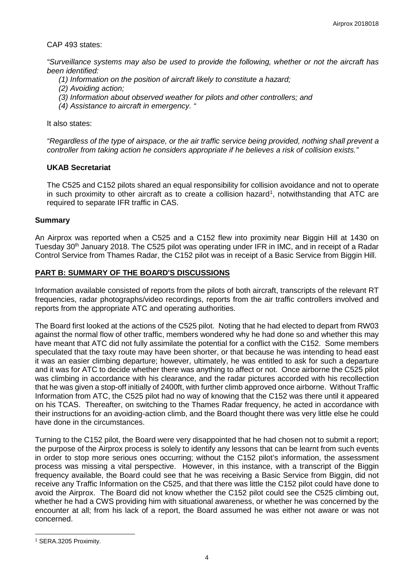#### CAP 493 states:

*"Surveillance systems may also be used to provide the following, whether or not the aircraft has been identified:* 

- *(1) Information on the position of aircraft likely to constitute a hazard;*
- *(2) Avoiding action;*
- *(3) Information about observed weather for pilots and other controllers; and*
- *(4) Assistance to aircraft in emergency. "*

It also states:

*"Regardless of the type of airspace, or the air traffic service being provided, nothing shall prevent a controller from taking action he considers appropriate if he believes a risk of collision exists."*

#### **UKAB Secretariat**

The C525 and C152 pilots shared an equal responsibility for collision avoidance and not to operate in such proximity to other aircraft as to create a collision hazard<sup>[1](#page-3-0)</sup>, notwithstanding that ATC are required to separate IFR traffic in CAS.

## **Summary**

An Airprox was reported when a C525 and a C152 flew into proximity near Biggin Hill at 1430 on Tuesday 30<sup>th</sup> January 2018. The C525 pilot was operating under IFR in IMC, and in receipt of a Radar Control Service from Thames Radar, the C152 pilot was in receipt of a Basic Service from Biggin Hill.

## **PART B: SUMMARY OF THE BOARD'S DISCUSSIONS**

Information available consisted of reports from the pilots of both aircraft, transcripts of the relevant RT frequencies, radar photographs/video recordings, reports from the air traffic controllers involved and reports from the appropriate ATC and operating authorities.

The Board first looked at the actions of the C525 pilot. Noting that he had elected to depart from RW03 against the normal flow of other traffic, members wondered why he had done so and whether this may have meant that ATC did not fully assimilate the potential for a conflict with the C152. Some members speculated that the taxy route may have been shorter, or that because he was intending to head east it was an easier climbing departure; however, ultimately, he was entitled to ask for such a departure and it was for ATC to decide whether there was anything to affect or not. Once airborne the C525 pilot was climbing in accordance with his clearance, and the radar pictures accorded with his recollection that he was given a stop-off initially of 2400ft, with further climb approved once airborne. Without Traffic Information from ATC, the C525 pilot had no way of knowing that the C152 was there until it appeared on his TCAS. Thereafter, on switching to the Thames Radar frequency, he acted in accordance with their instructions for an avoiding-action climb, and the Board thought there was very little else he could have done in the circumstances.

Turning to the C152 pilot, the Board were very disappointed that he had chosen not to submit a report; the purpose of the Airprox process is solely to identify any lessons that can be learnt from such events in order to stop more serious ones occurring; without the C152 pilot's information, the assessment process was missing a vital perspective. However, in this instance, with a transcript of the Biggin frequency available, the Board could see that he was receiving a Basic Service from Biggin, did not receive any Traffic Information on the C525, and that there was little the C152 pilot could have done to avoid the Airprox. The Board did not know whether the C152 pilot could see the C525 climbing out, whether he had a CWS providing him with situational awareness, or whether he was concerned by the encounter at all; from his lack of a report, the Board assumed he was either not aware or was not concerned.

 $\overline{\phantom{a}}$ 

<span id="page-3-0"></span><sup>1</sup> SERA.3205 Proximity.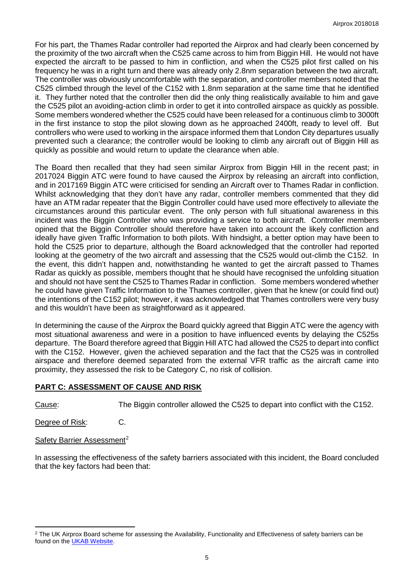For his part, the Thames Radar controller had reported the Airprox and had clearly been concerned by the proximity of the two aircraft when the C525 came across to him from Biggin Hill. He would not have expected the aircraft to be passed to him in confliction, and when the C525 pilot first called on his frequency he was in a right turn and there was already only 2.8nm separation between the two aircraft. The controller was obviously uncomfortable with the separation, and controller members noted that the C525 climbed through the level of the C152 with 1.8nm separation at the same time that he identified it. They further noted that the controller then did the only thing realistically available to him and gave the C525 pilot an avoiding-action climb in order to get it into controlled airspace as quickly as possible. Some members wondered whether the C525 could have been released for a continuous climb to 3000ft in the first instance to stop the pilot slowing down as he approached 2400ft, ready to level off. But controllers who were used to working in the airspace informed them that London City departures usually prevented such a clearance; the controller would be looking to climb any aircraft out of Biggin Hill as quickly as possible and would return to update the clearance when able.

The Board then recalled that they had seen similar Airprox from Biggin Hill in the recent past; in 2017024 Biggin ATC were found to have caused the Airprox by releasing an aircraft into confliction, and in 2017169 Biggin ATC were criticised for sending an Aircraft over to Thames Radar in confliction. Whilst acknowledging that they don't have any radar, controller members commented that they did have an ATM radar repeater that the Biggin Controller could have used more effectively to alleviate the circumstances around this particular event. The only person with full situational awareness in this incident was the Biggin Controller who was providing a service to both aircraft. Controller members opined that the Biggin Controller should therefore have taken into account the likely confliction and ideally have given Traffic Information to both pilots. With hindsight, a better option may have been to hold the C525 prior to departure, although the Board acknowledged that the controller had reported looking at the geometry of the two aircraft and assessing that the C525 would out-climb the C152. In the event, this didn't happen and, notwithstanding he wanted to get the aircraft passed to Thames Radar as quickly as possible, members thought that he should have recognised the unfolding situation and should not have sent the C525 to Thames Radar in confliction. Some members wondered whether he could have given Traffic Information to the Thames controller, given that he knew (or could find out) the intentions of the C152 pilot; however, it was acknowledged that Thames controllers were very busy and this wouldn't have been as straightforward as it appeared.

In determining the cause of the Airprox the Board quickly agreed that Biggin ATC were the agency with most situational awareness and were in a position to have influenced events by delaying the C525s departure. The Board therefore agreed that Biggin Hill ATC had allowed the C525 to depart into conflict with the C152. However, given the achieved separation and the fact that the C525 was in controlled airspace and therefore deemed separated from the external VFR traffic as the aircraft came into proximity, they assessed the risk to be Category C, no risk of collision.

# **PART C: ASSESSMENT OF CAUSE AND RISK**

l

Cause: The Biggin controller allowed the C525 to depart into conflict with the C152.

Degree of Risk: C.

Safety Barrier Assessment<sup>[2](#page-4-0)</sup>

In assessing the effectiveness of the safety barriers associated with this incident, the Board concluded that the key factors had been that:

<span id="page-4-0"></span><sup>&</sup>lt;sup>2</sup> The UK Airprox Board scheme for assessing the Availability, Functionality and Effectiveness of safety barriers can be found on the [UKAB Website.](http://www.airproxboard.org.uk/Learn-more/Airprox-Barrier-Assessment/)